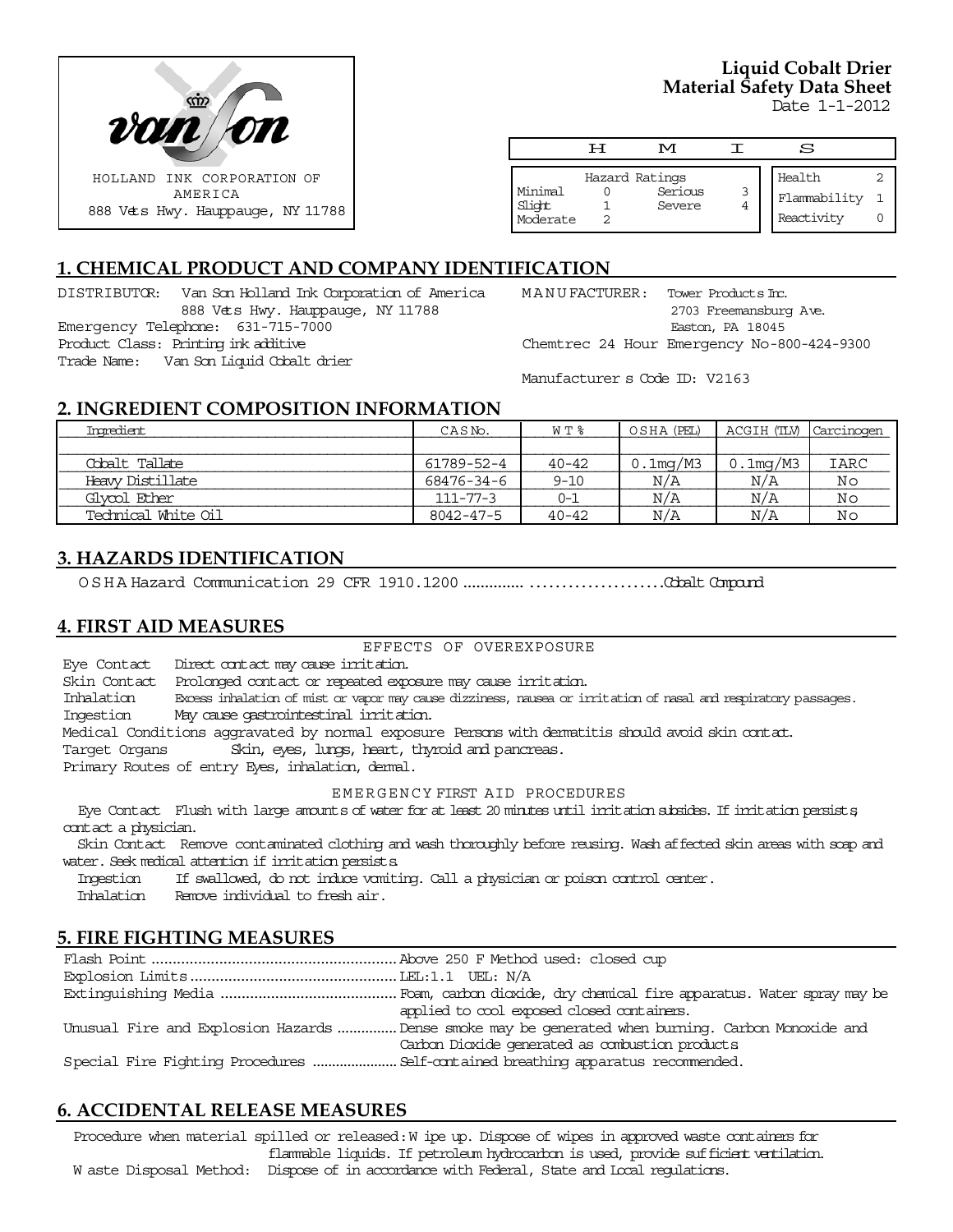

# **Liquid Cobalt Drier Material Safety Data Sheet**

Date 1-1-2012

|                               | ਸ | M                                   |   | S                                    |  |
|-------------------------------|---|-------------------------------------|---|--------------------------------------|--|
| Minimal<br>Slight<br>Moderate |   | Hazard Ratings<br>Serious<br>Severe | 3 | Health<br>Flammability<br>Reactivity |  |

## **1. CHEMICAL PRODUCT AND COMPANY IDENTIFICATION**

DISTRIBUTOR: Van Son Holland Ink Corporation of America 888 Vets Hwy. Hauppauge, NY 11788 Emergency Telephone: 631-715-7000 Product Class: Printing ink additive Trade Name: Van Son Liquid Cobalt drier

MANUFACTURER: Tower Products Inc. 2703 Freemansburg Ave. Easton, PA 18045 Chemtrec 24 Hour Emergency No-800-424-9300

Manufacturer s Code ID: V2163

#### **2. INGREDIENT COMPOSITION INFORMATION**

| Ingredient          | CASN <sub>o</sub> . | WT %      | OSHA (PEL)  | ACGIH (TLV) | Carcinogen |
|---------------------|---------------------|-----------|-------------|-------------|------------|
|                     |                     |           |             |             |            |
| Cobalt Tallate      | 61789-52-4          | $40 - 42$ | $0.1$ mg/M3 | $0.1$ mg/M3 | IARC       |
| Heavy Distillate    | 68476-34-6          | $9 - 10$  | N/A         | N/A         | No         |
| Glvool Ether        | $111 - 77 - 3$      | ი-1       | N/A         | N/A         | Νo         |
| Technical White Oil | 8042-47-5           | $40 - 42$ | N/A         | N/A         | Νo         |

## **3. HAZARDS IDENTIFICATION**

OSHA Hazard Communication 29 CFR 1910.1200...................................Cobalt Compound

#### **4. FIRST AID MEASURES**

EFFECTS OF OVEREXPOSURE

Eye Contact Direct contact may cause irritation.

Skin Contact Prolonged contact or repeated exposure may cause irritation.

Inhalation Excess inhalation of mist or vapor may cause dizziness, nausea or irritation of nasal and respiratory passages. Ingestion May cause gastrointestinal irritation.

Medical Conditions aggravated by normal exposure Persons with dermatitis should avoid skin contat.

Target Organs Skin, eyes, lungs, heart, thyroid and pancreas.

Primary Routes of entry Eyes, inhalation, dermal.

EMERGENCY FIRST AID PROCEDURES

 Eye Contact Flush with large amounts of water for at least 20 minutes until irritation subsides. If irritation persists, contact a physician.

 Skin Contact Remove contaminated clothing and wash thoroughly before reusing. Wash affected skin areas with soap and water. Seek medical attention if irritation persists.

Ingestion If swallowed, do not induce vomiting. Call a physician or poison control center.

Inhalation Remove individual to fresh air.

## **5. FIRE FIGHTING MEASURES**

| applied to cool exposed closed containers.                                                        |
|---------------------------------------------------------------------------------------------------|
| Unusual Fire and Explosion Hazards Dense smoke may be generated when burning. Carbon Monoxide and |
| Carbon Dioxide generated as combustion products                                                   |
|                                                                                                   |

## **6. ACCIDENTAL RELEASE MEASURES**

Procedure when material spilled or released: W ipe up. Dispose of wipes in approved waste containers for flammable liquids. If petroleum hydrocarbon is used, provide sufficient ventilation. W aste Disposal Method: Dispose of in accordance with Federal, State and Local regulations.